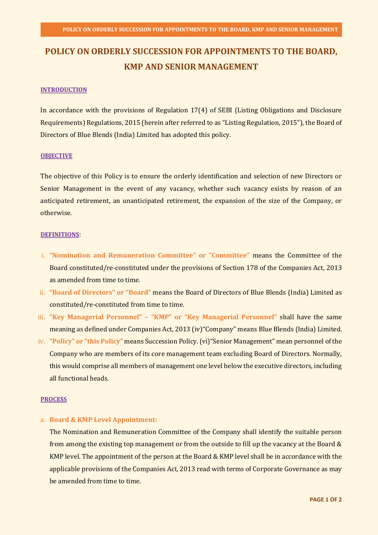# **POLICY ON ORDERLY SUCCESSION FOR APPOINTMENTS TO THE BOARD, KMP AND SENIOR MANAGEMENT**

#### **INTRODUCTION**

In accordance with the provisions of Regulation 17(4) of SEBI (Listing Obligations and Disclosure Requirements) Regulations, 2015 (herein after referred to as "Listing Regulation, 2015"), the Board of Directors of Blue Blends (India) Limited has adopted this policy.

#### **OBJECTIVE**

The objective of this Policy is to ensure the orderly identification and selection of new Directors or Senior Management in the event of any vacancy, whether such vacancy exists by reason of an anticipated retirement, an unanticipated retirement, the expansion of the size of the Company, or otherwise.

#### **DEFINITIONS**:

- i. **"Nomination and Remuneration Committee" or "Committee"** means the Committee of the Board constituted/re-constituted under the provisions of Section 178 of the Companies Act, 2013 as amended from time to time.
- ii. **"Board of Directors" or "Board"** means the Board of Directors of Blue Blends (India) Limited as constituted/re-constituted from time to time.
- iii. **"Key Managerial Personnel" – "KMP" or "Key Managerial Personnel"** shall have the same meaning as defined under Companies Act, 2013 (iv)"Company" means Blue Blends (India) Limited.
- iv. **"Policy" or "this Policy"** means Succession Policy. (vi)"Senior Management" mean personnel of the Company who are members of its core management team excluding Board of Directors. Normally, this would comprise all members of management one level below the executive directors, including all functional heads.

### **PROCESS**

a. **Board & KMP Level Appointment:**

The Nomination and Remuneration Committee of the Company shall identify the suitable person from among the existing top management or from the outside to fill up the vacancy at the Board & KMP level. The appointment of the person at the Board & KMP level shall be in accordance with the applicable provisions of the Companies Act, 2013 read with terms of Corporate Governance as may be amended from time to time.